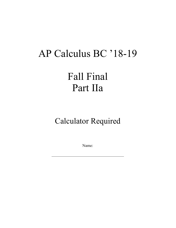### AP Calculus BC '18-19 Fall Final Part IIa

#### Calculator Required

Name: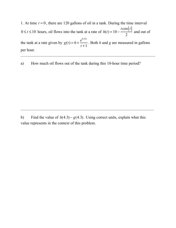1. At time  $t = 0$ , there are 120 gallons of oil in a tank. During the time interval  $0 \le t \le 10$  hours, oil flows into the tank at a rate of  $h(t) = 10 - \frac{t \cos(t)}{2}$  and out of the tank at a rate given by  $g(t) = 6 + \frac{6}{11}$ . Both *h* and *g* are measured in gallons per hour. 2  $e^{0.52t}$ *t* +1

a) How much oil flows out of the tank during this 10-hour time period?

b) Find the value of  $h(4.3) - g(4.3)$ . Using correct units, explain what this value represents in the context of this problem.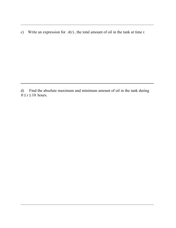c) Write an expression for  $A(t)$ , the total amount of oil in the tank at time *t*.

d) Find the absolute maximum and minimum amount of oil in the tank during  $0 \le t \le 10$  hours.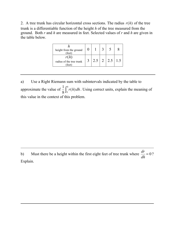2. A tree trunk has circular horizontal cross sections. The radius  $r(h)$  of the tree trunk is a differentiable function of the height *h* of the tree measured from the ground. Both *r* and *h* are measured in feet. Selected values of *r* and *h* are given in the table below.

| height from the ground<br>(feet)           |                |  |                 |  |
|--------------------------------------------|----------------|--|-----------------|--|
| r(h)<br>radius of the tree trunk<br>(feet) | $\overline{3}$ |  | $2.5$   2   2.5 |  |

a) Use a Right Riemann sum with subintervals indicated by the table to approximate the value of  $\frac{1}{6}$   $\int r(h) dh$ . Using correct units, explain the meaning of this value in the context of this problem. 1 8  $\int_0^{\infty} r(h) dh$  $\int_0^8$ 

b) Must there be a height within the first eight feet of tree trunk where  $\frac{dr}{dt} = 0$ ? Explain. *dr*  $\frac{d\mathbf{r}}{dh} = 0$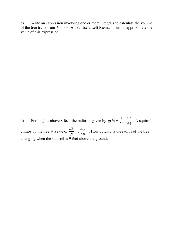c) Write an expression involving one or more integrals to calculate the volume of the tree trunk from  $h = 0$  to  $h = 8$ . Use a Left Riemann sum to approximate the value of this expression.

d) For heights above 8 feet, the radius is given by  $g(h) = \frac{1}{h^2} + \frac{95}{64}$ . A squirrel climbs up the tree at a rate of  $\frac{dn}{l} = 3 \frac{lt}{l}$ . How quickly is the radius of the tree changing when the squirrel is 9 feet above the ground?  $\frac{1}{h^2}$  + 95 64  $\frac{dh}{dt} = 3 \text{ ft/s}$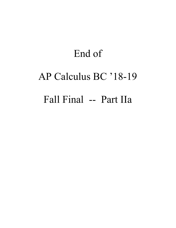# End of AP Calculus BC '18-19 Fall Final -- Part IIa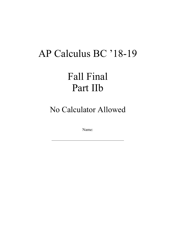### AP Calculus BC '18-19

#### Fall Final Part IIb

No Calculator Allowed

Name: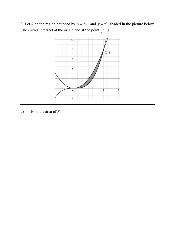3. Let *R* be the region bounded by  $y = 2x^2$  and  $y = x^3$ , shaded in the picture below. The curves intersect at the origin and at the point  $(2,8)$ .



a) Find the area of *R*.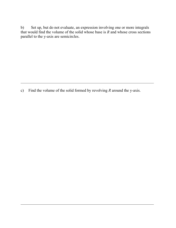b) Set up, but do not evaluate, an expression involving one or more integrals that would find the volume of the solid whose base is  $R$  and whose cross sections parallel to the y-axis are semicircles.

c) Find the volume of the solid formed by revolving *R* around the y-axis.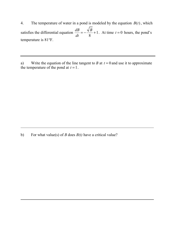4. The temperature of water in a pond is modeled by the equation  $B(t)$ , which satisfies the differential equation  $\frac{dE}{dt} = -\frac{\sqrt{B}}{2} + 1$ . At time  $t = 0$  hours, the pond's temperature is 81°F.  $\frac{dB}{dt} = -\frac{\sqrt{B}}{8}$  $+1$ . At time  $t = 0$ 

a) Write the equation of the line tangent to *B* at  $t = 0$  and use it to approximate the temperature of the pond at  $t = 1$ .

b) For what value(s) of *B* does *B(t)* have a critical value?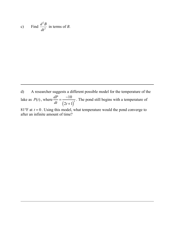c) Find 
$$
\frac{d^2B}{dt^2}
$$
 in terms of B.

d) A researcher suggests a different possible model for the temperature of the lake as  $P(t)$ , where  $\frac{dP}{dt} = \frac{-10}{(2t+1)^3}$ . The pond still begins with a temperature of

 $81^{\circ}$ F at  $t = 0$ . Using this model, what temperature would the pond converge to after an infinite amount of time?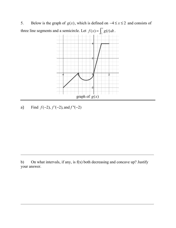5. Below is the graph of  $g(x)$ , which is defined on  $-4 \le x \le 2$  and consists of three line segments and a semicircle. Let  $f(x) = \int_1^x g(t) dt$ .  $\int_1^x$ 



a) Find  $f(-2)$ ,  $f'(-2)$ , and  $f''(-2)$ 

b) On what intervals, if any, is f(x) both decreasing and concave up? Justify your answer.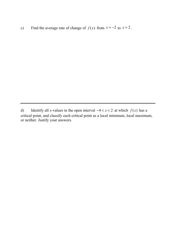c) Find the average rate of change of  $f(x)$  from  $x = -2$  to  $x = 2$ .

d) Identify all *x*-values in the open interval  $-4 < x < 2$  at which  $f(x)$  has a critical point, and classify each critical point as a local minimum, local maximum, or neither. Justify your answers.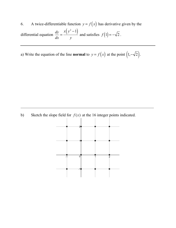6. A twice-differentiable function  $y = f(x)$  has derivative given by the differential equation  $\frac{dy}{dx} = \frac{y}{x}$  and satisfies  $f(1) = -\sqrt{2}$ .  $\frac{dy}{dx} = \frac{x(y^2-1)}{y}$ *y*  $f(1) = -\sqrt{2}$ 

a) Write the equation of the line **normal** to  $y = f(x)$  at the point  $(1, -\sqrt{2})$ .



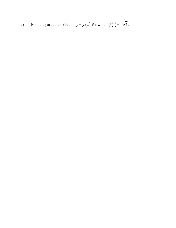c) Find the particular solution  $y = f(x)$  for which  $f(1) = -\sqrt{2}$ .